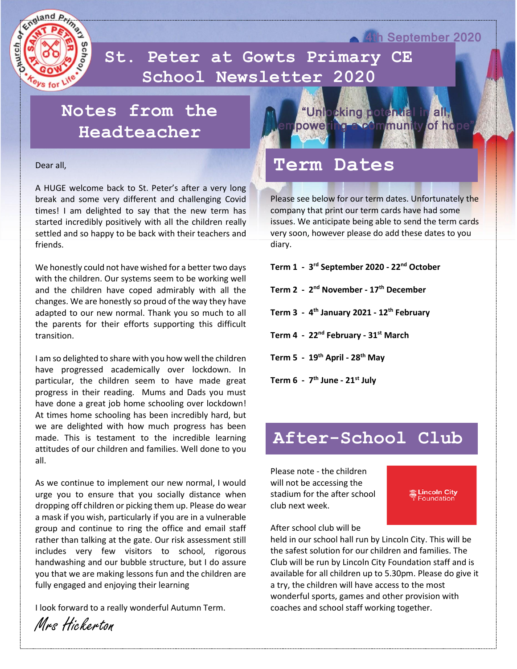

 **School Newsletter 2020St. Peter at Gowts Primary CE** 

## **Notes from the Headteacher**

Dear all,

A HUGE welcome back to St. Peter's after a very long break and some very different and challenging Covid times! I am delighted to say that the new term has started incredibly positively with all the children really settled and so happy to be back with their teachers and friends.

We honestly could not have wished for a better two days with the children. Our systems seem to be working well and the children have coped admirably with all the changes. We are honestly so proud of the way they have adapted to our new normal. Thank you so much to all the parents for their efforts supporting this difficult transition.

I am so delighted to share with you how well the children have progressed academically over lockdown. In particular, the children seem to have made great progress in their reading. Mums and Dads you must have done a great job home schooling over lockdown! At times home schooling has been incredibly hard, but we are delighted with how much progress has been made. This is testament to the incredible learning attitudes of our children and families. Well done to you all.

As we continue to implement our new normal, I would urge you to ensure that you socially distance when dropping off children or picking them up. Please do wear a mask if you wish, particularly if you are in a vulnerable group and continue to ring the office and email staff rather than talking at the gate. Our risk assessment still includes very few visitors to school, rigorous handwashing and our bubble structure, but I do assure you that we are making lessons fun and the children are fully engaged and enjoying their learning

I look forward to a really wonderful Autumn Term.



4th September 2020

### **Term Dates**

Please see below for our term dates. Unfortunately the company that print our term cards have had some issues. We anticipate being able to send the term cards very soon, however please do add these dates to you diary.

**Term 1 - 3 rd September 2020 - 22nd October**

**Term 2 - 2 nd November - 17th December**

**Term 3 - 4 th January 2021 - 12th February**

**Term 4 - 22nd February - 31st March**

**Term 5 - 19th April - 28th May**

**Term 6 - 7 th June - 21st July**

### **After-School Club**

Please note - the children will not be accessing the stadium for the after school club next week.



After school club will be

held in our school hall run by Lincoln City. This will be the safest solution for our children and families. The Club will be run by Lincoln City Foundation staff and is available for all children up to 5.30pm. Please do give it a try, the children will have access to the most wonderful sports, games and other provision with coaches and school staff working together.

Mrs Hickerton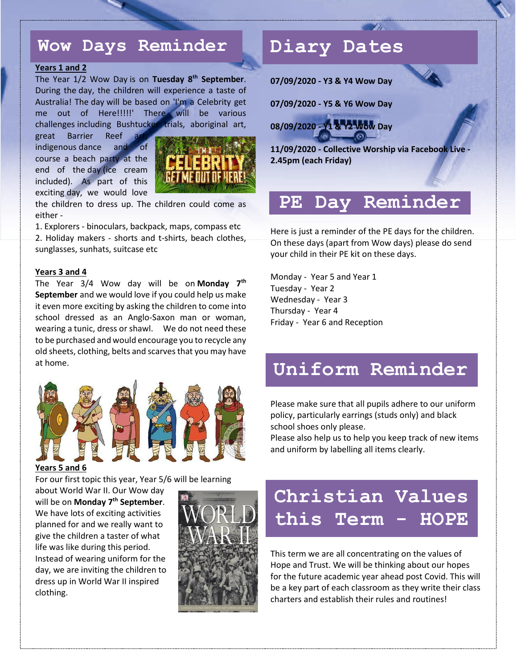### **Wow Days Reminder**

#### **Years 1 and 2**

The Year 1/2 Wow Day is on **Tuesday 8th September**. During the day, the children will experience a taste of Australia! The day will be based on 'I'm a Celebrity get me out of Here!!!!!' There will be various challenges including Bushtucker trials, aboriginal art,

great Barrier Reef indigenous dance and of course a beach party at the end of the day (ice cream included). As part of this exciting day, we would love



the children to dress up. The children could come as either -

1. Explorers - binoculars, backpack, maps, compass etc 2. Holiday makers - shorts and t-shirts, beach clothes, sunglasses, sunhats, suitcase etc

#### **Years 3 and 4**

The Year 3/4 Wow day will be on **Monday 7th September** and we would love if you could help us make it even more exciting by asking the children to come into school dressed as an Anglo-Saxon man or woman, wearing a tunic, dress or shawl. We do not need these to be purchased and would encourage you to recycle any old sheets, clothing, belts and scarves that you may have at home.



#### **Years 5 and 6**

For our first topic this year, Year 5/6 will be learning

about World War II. Our Wow day will be on **Monday 7th September**. We have lots of exciting activities planned for and we really want to give the children a taster of what life was like during this period. Instead of wearing uniform for the day, we are inviting the children to dress up in World War II inspired clothing.



### **Diary Dates**

**07/09/2020 - Y3 & Y4 Wow Day**

**07/09/2020 - Y5 & Y6 Wow Day**

**08/09/2020 - Y1 & Y2 Wow Day**

**11/09/2020 - Collective Worship via Facebook Live - 2.45pm (each Friday)**

### **PE Day Reminder**

Here is just a reminder of the PE days for the children. On these days (apart from Wow days) please do send your child in their PE kit on these days.

Monday - Year 5 and Year 1 Tuesday - Year 2 Wednesday - Year 3 Thursday - Year 4 Friday - Year 6 and Reception

### **Uniform Reminder**

Please make sure that all pupils adhere to our uniform policy, particularly earrings (studs only) and black school shoes only please.

Please also help us to help you keep track of new items and uniform by labelling all items clearly.

# **Christian Values this Term - HOPE**

This term we are all concentrating on the values of Hope and Trust. We will be thinking about our hopes for the future academic year ahead post Covid. This will be a key part of each classroom as they write their class charters and establish their rules and routines!